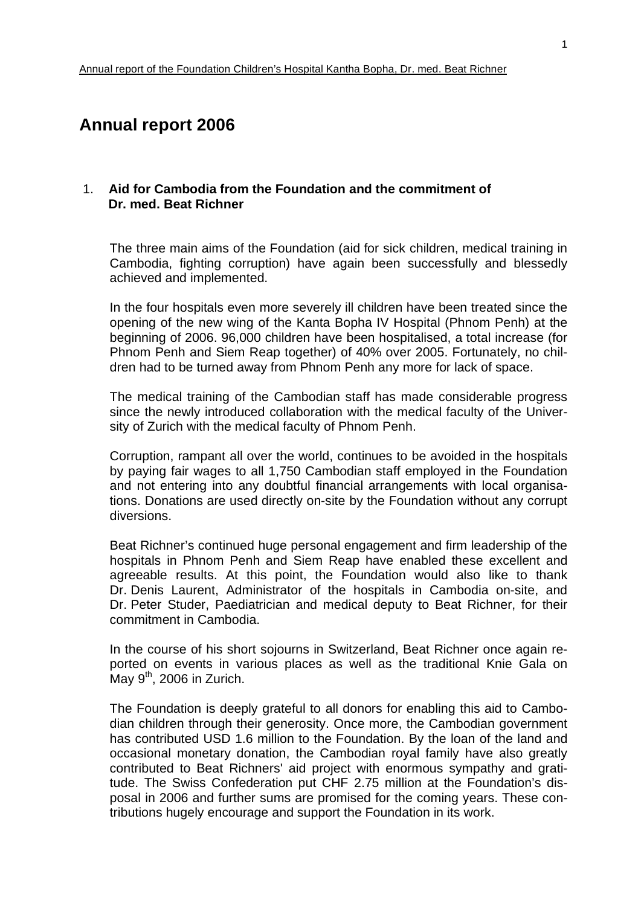# **Annual report 2006**

### 1. **Aid for Cambodia from the Foundation and the commitment of Dr. med. Beat Richner**

The three main aims of the Foundation (aid for sick children, medical training in Cambodia, fighting corruption) have again been successfully and blessedly achieved and implemented.

In the four hospitals even more severely ill children have been treated since the opening of the new wing of the Kanta Bopha IV Hospital (Phnom Penh) at the beginning of 2006. 96,000 children have been hospitalised, a total increase (for Phnom Penh and Siem Reap together) of 40% over 2005. Fortunately, no children had to be turned away from Phnom Penh any more for lack of space.

The medical training of the Cambodian staff has made considerable progress since the newly introduced collaboration with the medical faculty of the University of Zurich with the medical faculty of Phnom Penh.

Corruption, rampant all over the world, continues to be avoided in the hospitals by paying fair wages to all 1,750 Cambodian staff employed in the Foundation and not entering into any doubtful financial arrangements with local organisations. Donations are used directly on-site by the Foundation without any corrupt diversions.

Beat Richner's continued huge personal engagement and firm leadership of the hospitals in Phnom Penh and Siem Reap have enabled these excellent and agreeable results. At this point, the Foundation would also like to thank Dr. Denis Laurent, Administrator of the hospitals in Cambodia on-site, and Dr. Peter Studer, Paediatrician and medical deputy to Beat Richner, for their commitment in Cambodia.

In the course of his short sojourns in Switzerland, Beat Richner once again reported on events in various places as well as the traditional Knie Gala on  $M$ ay 9<sup>th</sup>, 2006 in Zurich.

The Foundation is deeply grateful to all donors for enabling this aid to Cambodian children through their generosity. Once more, the Cambodian government has contributed USD 1.6 million to the Foundation. By the loan of the land and occasional monetary donation, the Cambodian royal family have also greatly contributed to Beat Richners' aid project with enormous sympathy and gratitude. The Swiss Confederation put CHF 2.75 million at the Foundation's disposal in 2006 and further sums are promised for the coming years. These contributions hugely encourage and support the Foundation in its work.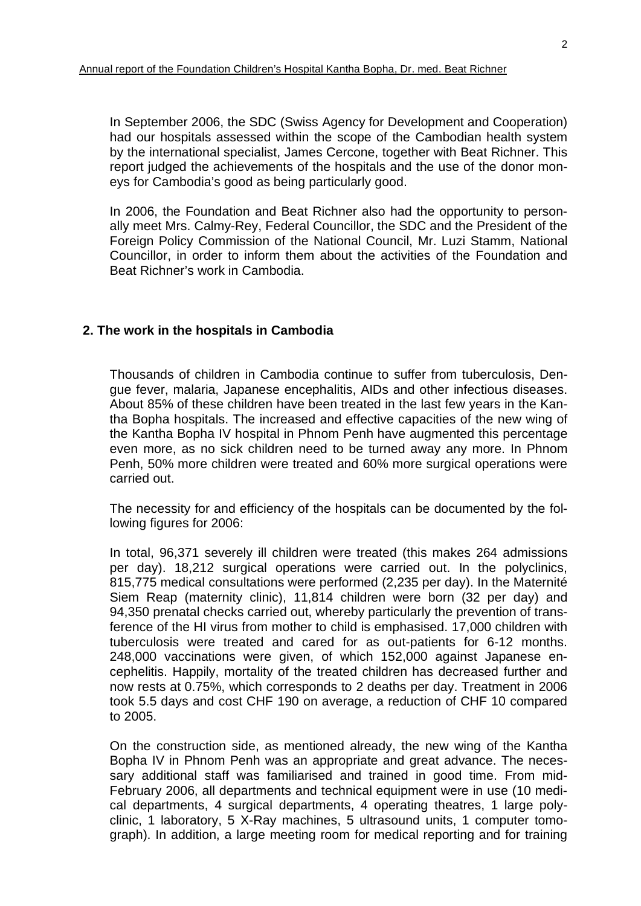In September 2006, the SDC (Swiss Agency for Development and Cooperation) had our hospitals assessed within the scope of the Cambodian health system by the international specialist, James Cercone, together with Beat Richner. This report judged the achievements of the hospitals and the use of the donor moneys for Cambodia's good as being particularly good.

In 2006, the Foundation and Beat Richner also had the opportunity to personally meet Mrs. Calmy-Rey, Federal Councillor, the SDC and the President of the Foreign Policy Commission of the National Council, Mr. Luzi Stamm, National Councillor, in order to inform them about the activities of the Foundation and Beat Richner's work in Cambodia.

#### **2. The work in the hospitals in Cambodia**

Thousands of children in Cambodia continue to suffer from tuberculosis, Dengue fever, malaria, Japanese encephalitis, AIDs and other infectious diseases. About 85% of these children have been treated in the last few years in the Kantha Bopha hospitals. The increased and effective capacities of the new wing of the Kantha Bopha IV hospital in Phnom Penh have augmented this percentage even more, as no sick children need to be turned away any more. In Phnom Penh, 50% more children were treated and 60% more surgical operations were carried out.

The necessity for and efficiency of the hospitals can be documented by the following figures for 2006:

In total, 96,371 severely ill children were treated (this makes 264 admissions per day). 18,212 surgical operations were carried out. In the polyclinics, 815,775 medical consultations were performed (2,235 per day). In the Maternité Siem Reap (maternity clinic), 11,814 children were born (32 per day) and 94,350 prenatal checks carried out, whereby particularly the prevention of transference of the HI virus from mother to child is emphasised. 17,000 children with tuberculosis were treated and cared for as out-patients for 6-12 months. 248,000 vaccinations were given, of which 152,000 against Japanese encephelitis. Happily, mortality of the treated children has decreased further and now rests at 0.75%, which corresponds to 2 deaths per day. Treatment in 2006 took 5.5 days and cost CHF 190 on average, a reduction of CHF 10 compared to 2005.

On the construction side, as mentioned already, the new wing of the Kantha Bopha IV in Phnom Penh was an appropriate and great advance. The necessary additional staff was familiarised and trained in good time. From mid-February 2006, all departments and technical equipment were in use (10 medical departments, 4 surgical departments, 4 operating theatres, 1 large polyclinic, 1 laboratory, 5 X-Ray machines, 5 ultrasound units, 1 computer tomograph). In addition, a large meeting room for medical reporting and for training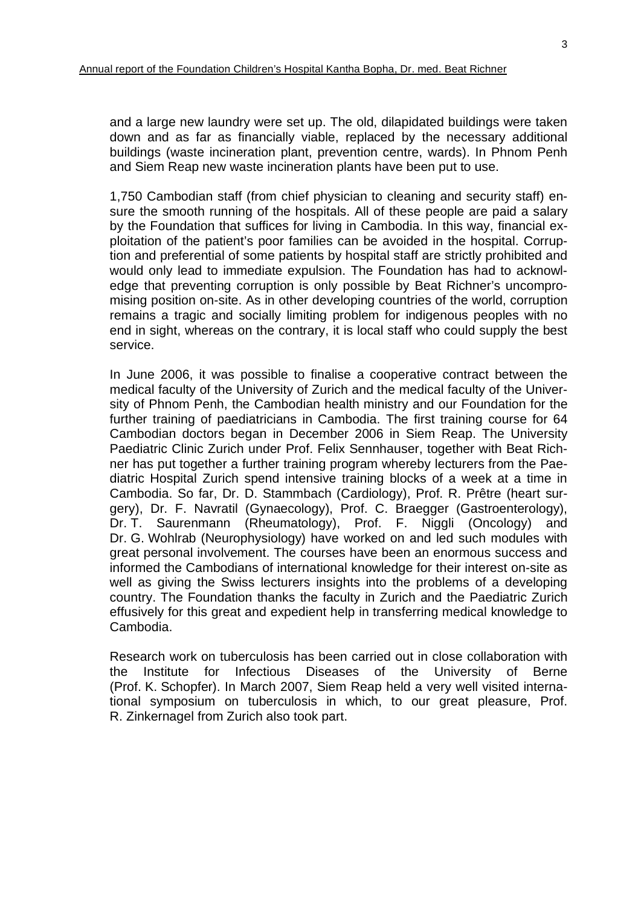and a large new laundry were set up. The old, dilapidated buildings were taken down and as far as financially viable, replaced by the necessary additional buildings (waste incineration plant, prevention centre, wards). In Phnom Penh and Siem Reap new waste incineration plants have been put to use.

1,750 Cambodian staff (from chief physician to cleaning and security staff) ensure the smooth running of the hospitals. All of these people are paid a salary by the Foundation that suffices for living in Cambodia. In this way, financial exploitation of the patient's poor families can be avoided in the hospital. Corruption and preferential of some patients by hospital staff are strictly prohibited and would only lead to immediate expulsion. The Foundation has had to acknowledge that preventing corruption is only possible by Beat Richner's uncompromising position on-site. As in other developing countries of the world, corruption remains a tragic and socially limiting problem for indigenous peoples with no end in sight, whereas on the contrary, it is local staff who could supply the best service.

In June 2006, it was possible to finalise a cooperative contract between the medical faculty of the University of Zurich and the medical faculty of the University of Phnom Penh, the Cambodian health ministry and our Foundation for the further training of paediatricians in Cambodia. The first training course for 64 Cambodian doctors began in December 2006 in Siem Reap. The University Paediatric Clinic Zurich under Prof. Felix Sennhauser, together with Beat Richner has put together a further training program whereby lecturers from the Paediatric Hospital Zurich spend intensive training blocks of a week at a time in Cambodia. So far, Dr. D. Stammbach (Cardiology), Prof. R. Prêtre (heart surgery), Dr. F. Navratil (Gynaecology), Prof. C. Braegger (Gastroenterology), Dr. T. Saurenmann (Rheumatology), Prof. F. Niggli (Oncology) and Dr. G. Wohlrab (Neurophysiology) have worked on and led such modules with great personal involvement. The courses have been an enormous success and informed the Cambodians of international knowledge for their interest on-site as well as giving the Swiss lecturers insights into the problems of a developing country. The Foundation thanks the faculty in Zurich and the Paediatric Zurich effusively for this great and expedient help in transferring medical knowledge to Cambodia.

Research work on tuberculosis has been carried out in close collaboration with the Institute for Infectious Diseases of the University of Berne (Prof. K. Schopfer). In March 2007, Siem Reap held a very well visited international symposium on tuberculosis in which, to our great pleasure, Prof. R. Zinkernagel from Zurich also took part.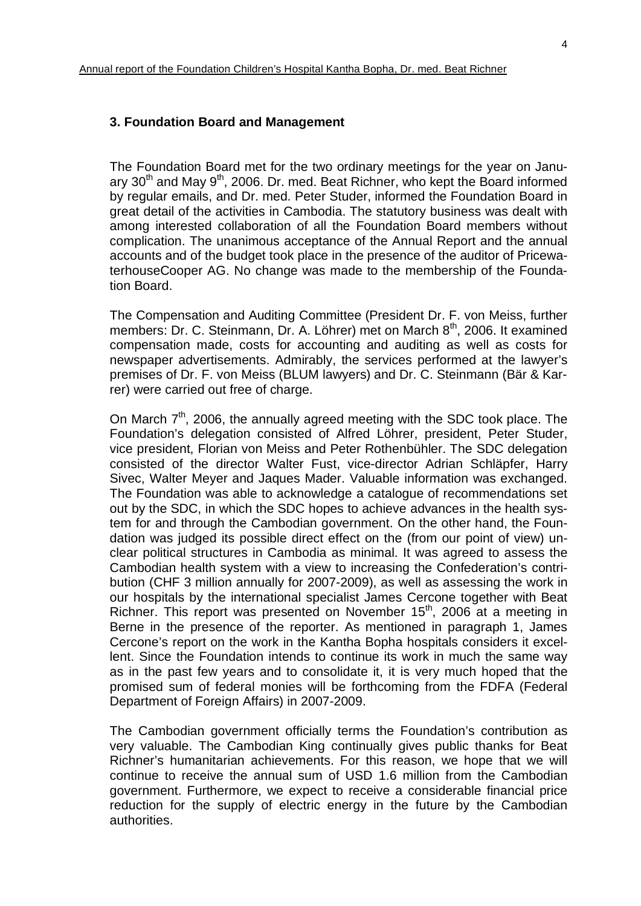The Foundation Board met for the two ordinary meetings for the year on January  $30<sup>th</sup>$  and May  $9<sup>th</sup>$ , 2006. Dr. med. Beat Richner, who kept the Board informed by regular emails, and Dr. med. Peter Studer, informed the Foundation Board in great detail of the activities in Cambodia. The statutory business was dealt with among interested collaboration of all the Foundation Board members without complication. The unanimous acceptance of the Annual Report and the annual accounts and of the budget took place in the presence of the auditor of PricewaterhouseCooper AG. No change was made to the membership of the Foundation Board.

The Compensation and Auditing Committee (President Dr. F. von Meiss, further members: Dr. C. Steinmann, Dr. A. Löhrer) met on March 8<sup>th</sup>, 2006. It examined compensation made, costs for accounting and auditing as well as costs for newspaper advertisements. Admirably, the services performed at the lawyer's premises of Dr. F. von Meiss (BLUM lawyers) and Dr. C. Steinmann (Bär & Karrer) were carried out free of charge.

On March  $7<sup>th</sup>$ , 2006, the annually agreed meeting with the SDC took place. The Foundation's delegation consisted of Alfred Löhrer, president, Peter Studer, vice president, Florian von Meiss and Peter Rothenbühler. The SDC delegation consisted of the director Walter Fust, vice-director Adrian Schläpfer, Harry Sivec, Walter Meyer and Jaques Mader. Valuable information was exchanged. The Foundation was able to acknowledge a catalogue of recommendations set out by the SDC, in which the SDC hopes to achieve advances in the health system for and through the Cambodian government. On the other hand, the Foundation was judged its possible direct effect on the (from our point of view) unclear political structures in Cambodia as minimal. It was agreed to assess the Cambodian health system with a view to increasing the Confederation's contribution (CHF 3 million annually for 2007-2009), as well as assessing the work in our hospitals by the international specialist James Cercone together with Beat Richner. This report was presented on November 15<sup>th</sup>, 2006 at a meeting in Berne in the presence of the reporter. As mentioned in paragraph 1, James Cercone's report on the work in the Kantha Bopha hospitals considers it excellent. Since the Foundation intends to continue its work in much the same way as in the past few years and to consolidate it, it is very much hoped that the promised sum of federal monies will be forthcoming from the FDFA (Federal Department of Foreign Affairs) in 2007-2009.

The Cambodian government officially terms the Foundation's contribution as very valuable. The Cambodian King continually gives public thanks for Beat Richner's humanitarian achievements. For this reason, we hope that we will continue to receive the annual sum of USD 1.6 million from the Cambodian government. Furthermore, we expect to receive a considerable financial price reduction for the supply of electric energy in the future by the Cambodian authorities.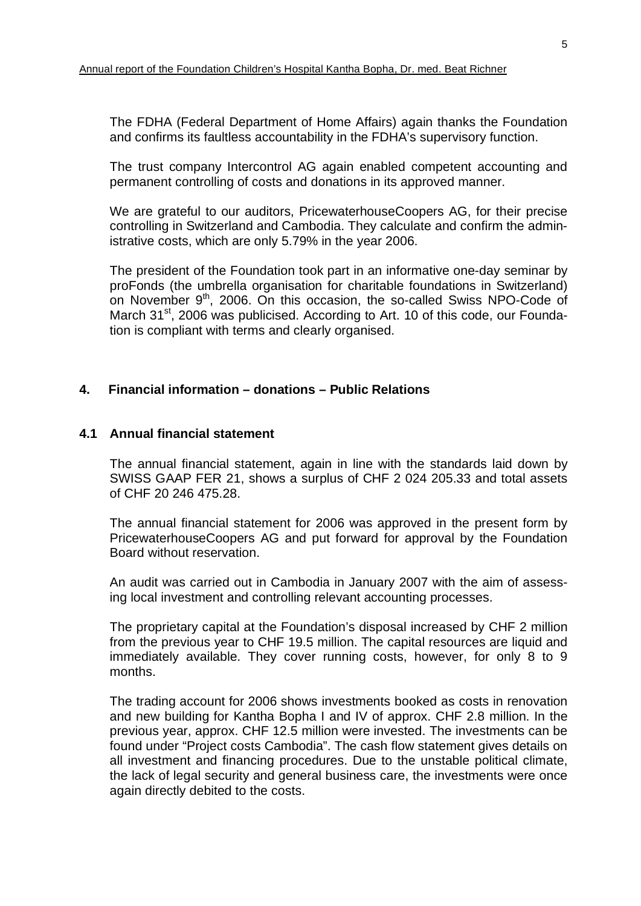The FDHA (Federal Department of Home Affairs) again thanks the Foundation and confirms its faultless accountability in the FDHA's supervisory function.

The trust company Intercontrol AG again enabled competent accounting and permanent controlling of costs and donations in its approved manner.

We are grateful to our auditors, PricewaterhouseCoopers AG, for their precise controlling in Switzerland and Cambodia. They calculate and confirm the administrative costs, which are only 5.79% in the year 2006.

The president of the Foundation took part in an informative one-day seminar by proFonds (the umbrella organisation for charitable foundations in Switzerland) on November 9<sup>th</sup>, 2006. On this occasion, the so-called Swiss NPO-Code of March 31<sup>st</sup>, 2006 was publicised. According to Art. 10 of this code, our Foundation is compliant with terms and clearly organised.

## **4. Financial information – donations – Public Relations**

#### **4.1 Annual financial statement**

 The annual financial statement, again in line with the standards laid down by SWISS GAAP FER 21, shows a surplus of CHF 2 024 205.33 and total assets of CHF 20 246 475.28.

 The annual financial statement for 2006 was approved in the present form by PricewaterhouseCoopers AG and put forward for approval by the Foundation Board without reservation.

 An audit was carried out in Cambodia in January 2007 with the aim of assessing local investment and controlling relevant accounting processes.

 The proprietary capital at the Foundation's disposal increased by CHF 2 million from the previous year to CHF 19.5 million. The capital resources are liquid and immediately available. They cover running costs, however, for only 8 to 9 months.

 The trading account for 2006 shows investments booked as costs in renovation and new building for Kantha Bopha I and IV of approx. CHF 2.8 million. In the previous year, approx. CHF 12.5 million were invested. The investments can be found under "Project costs Cambodia". The cash flow statement gives details on all investment and financing procedures. Due to the unstable political climate, the lack of legal security and general business care, the investments were once again directly debited to the costs.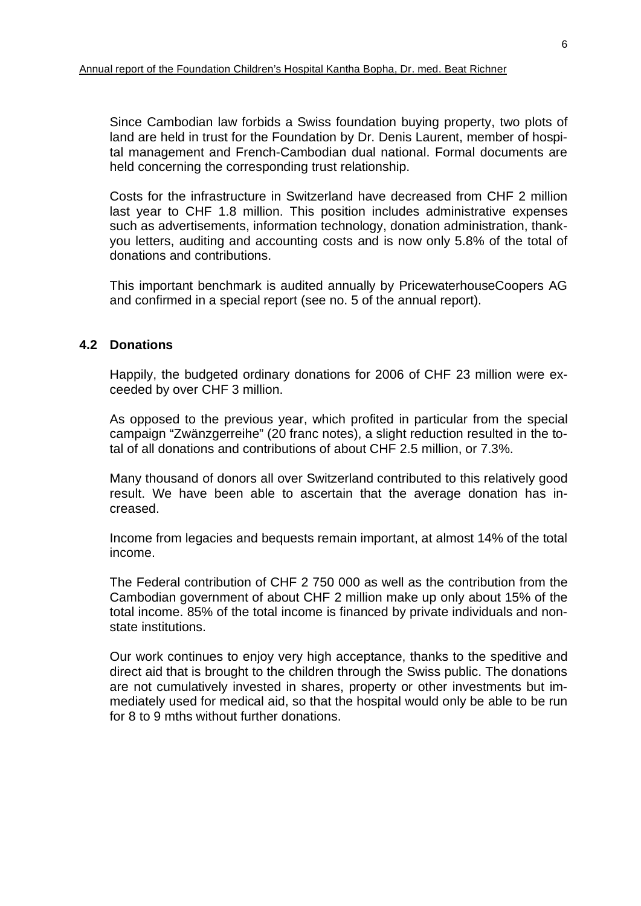Since Cambodian law forbids a Swiss foundation buying property, two plots of land are held in trust for the Foundation by Dr. Denis Laurent, member of hospital management and French-Cambodian dual national. Formal documents are held concerning the corresponding trust relationship.

 Costs for the infrastructure in Switzerland have decreased from CHF 2 million last year to CHF 1.8 million. This position includes administrative expenses such as advertisements, information technology, donation administration, thankyou letters, auditing and accounting costs and is now only 5.8% of the total of donations and contributions.

 This important benchmark is audited annually by PricewaterhouseCoopers AG and confirmed in a special report (see no. 5 of the annual report).

## **4.2 Donations**

 Happily, the budgeted ordinary donations for 2006 of CHF 23 million were exceeded by over CHF 3 million.

 As opposed to the previous year, which profited in particular from the special campaign "Zwänzgerreihe" (20 franc notes), a slight reduction resulted in the total of all donations and contributions of about CHF 2.5 million, or 7.3%.

 Many thousand of donors all over Switzerland contributed to this relatively good result. We have been able to ascertain that the average donation has increased.

 Income from legacies and bequests remain important, at almost 14% of the total income.

 The Federal contribution of CHF 2 750 000 as well as the contribution from the Cambodian government of about CHF 2 million make up only about 15% of the total income. 85% of the total income is financed by private individuals and nonstate institutions.

 Our work continues to enjoy very high acceptance, thanks to the speditive and direct aid that is brought to the children through the Swiss public. The donations are not cumulatively invested in shares, property or other investments but immediately used for medical aid, so that the hospital would only be able to be run for 8 to 9 mths without further donations.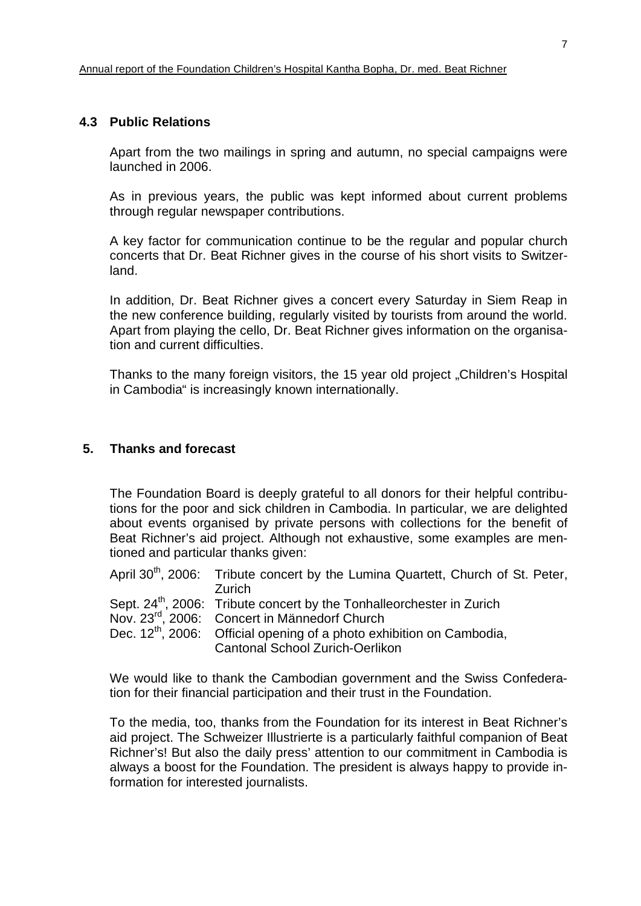#### **4.3 Public Relations**

 Apart from the two mailings in spring and autumn, no special campaigns were launched in 2006.

 As in previous years, the public was kept informed about current problems through regular newspaper contributions.

 A key factor for communication continue to be the regular and popular church concerts that Dr. Beat Richner gives in the course of his short visits to Switzerland.

 In addition, Dr. Beat Richner gives a concert every Saturday in Siem Reap in the new conference building, regularly visited by tourists from around the world. Apart from playing the cello, Dr. Beat Richner gives information on the organisation and current difficulties.

Thanks to the many foreign visitors, the 15 year old project "Children's Hospital in Cambodia" is increasingly known internationally.

#### **5. Thanks and forecast**

The Foundation Board is deeply grateful to all donors for their helpful contributions for the poor and sick children in Cambodia. In particular, we are delighted about events organised by private persons with collections for the benefit of Beat Richner's aid project. Although not exhaustive, some examples are mentioned and particular thanks given:

April 30<sup>th</sup>, 2006: Tribute concert by the Lumina Quartett, Church of St. Peter, Zurich Sept. 24<sup>th</sup>, 2006: Tribute concert by the Tonhalleorchester in Zurich

- Nov. 23rd, 2006: Concert in Männedorf Church
- Dec.  $12<sup>th</sup>$ , 2006: Official opening of a photo exhibition on Cambodia, Cantonal School Zurich-Oerlikon

We would like to thank the Cambodian government and the Swiss Confederation for their financial participation and their trust in the Foundation.

To the media, too, thanks from the Foundation for its interest in Beat Richner's aid project. The Schweizer Illustrierte is a particularly faithful companion of Beat Richner's! But also the daily press' attention to our commitment in Cambodia is always a boost for the Foundation. The president is always happy to provide information for interested journalists.